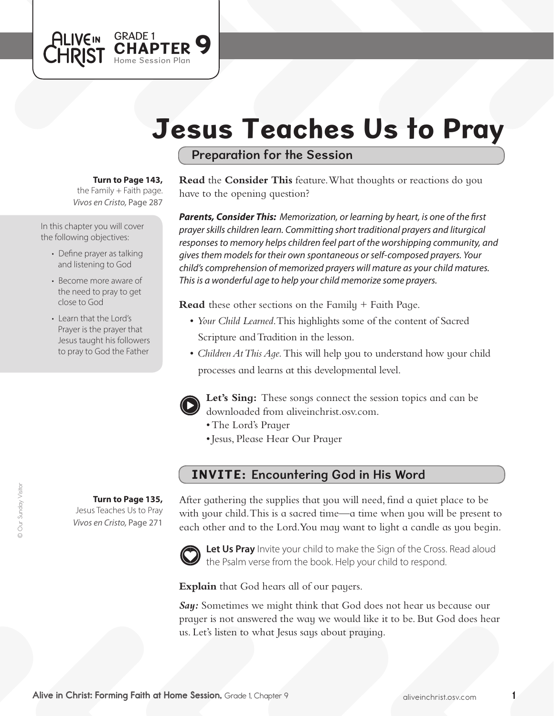# Jesus Teaches Us to Pray

Preparation for the Session

#### **Turn to Page 143,**

GRADE 1<br>CHAPTER 9

Home Session Plan

*Vivos en Cristo,* Page 287 the Family  $+$  Faith page.

In this chapter you will cover the following objectives:

**ALIVEIN** 

**CHRIST** 

- Define prayer as talking and listening to God
- Become more aware of the need to pray to get close to God
- Learn that the Lord's Prayer is the prayer that Jesus taught his followers to pray to God the Father

**Turn to Page 135,**

Jesus Teaches Us to Pray *Vivos en Cristo,* Page 271

**Read** the **Consider This** feature. What thoughts or reactions do you have to the opening question?

*Parents, Consider This: Memorization, or learning by heart, is one of the first prayer skills children learn. Committing short traditional prayers and liturgical responses to memory helps children feel part of the worshipping community, and gives them models for their own spontaneous or self-composed prayers. Your child's comprehension of memorized prayers will mature as your child matures. This is a wonderful age to help your child memorize some prayers.* 

**Read** these other sections on the Family + Faith Page.

- *Your Child Learned*. This highlights some of the content of Sacred Scripture and Tradition in the lesson.
- *Children At This Aqe*. This will help you to understand how your child processes and learns at this developmental level.



**Let's Sing:** These songs connect the session topics and can be downloaded from aliveinchrist.osv.com.

- The Lord's Prayer
- • Jesus, Please Hear Our Prayer

### INVITE: Encountering God in His Word

After gathering the supplies that you will need, find a quiet place to be with your child. This is a sacred time—a time when you will be present to each other and to the Lord.You may want to light a candle as you begin.



Let Us Pray Invite your child to make the Sign of the Cross. Read aloud the Psalm verse from the book. Help your child to respond.

**Explain** that God hears all of our payers.

*Say:* Sometimes we might think that God does not hear us because our prayer is not answered the way we would like it to be. But God does hear us. Let's listen to what Jesus says about praying.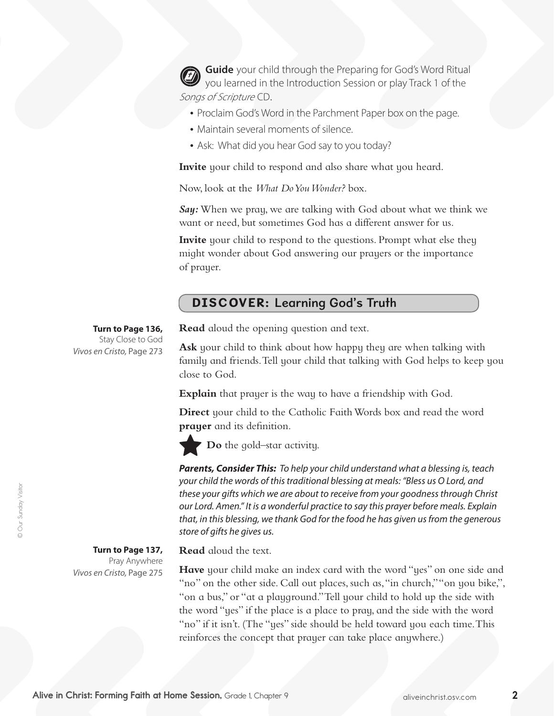**Guide** your child through the Preparing for God's Word Ritual you learned in the Introduction Session or play Track 1 of the Songs of Scripture CD.

- Proclaim God's Word in the Parchment Paper box on the page.
- Maintain several moments of silence.
- Ask: What did you hear God say to you today?

**Invite** your child to respond and also share what you heard.

Now, look at the *What Do You Wonder?* box.

*Say:* When we pray, we are talking with God about what we think we want or need, but sometimes God has a different answer for us.

**Invite** your child to respond to the questions. Prompt what else they might wonder about God answering our prayers or the importance of prayer.

## DISCOVER: Learning God's Truth

**Turn to Page 136,** Stay Close to God

*Vivos en Cristo,* Page 273

**Read** aloud the opening question and text.

**Ask** your child to think about how happy they are when talking with family and friends. Tell your child that talking with God helps to keep you close to God.

**Explain** that prayer is the way to have a friendship with God.

**Direct** your child to the Catholic Faith Words box and read the word **prayer** and its definition.

**Do** the gold–star activity.

*Parents, Consider This: To help your child understand what a blessing is, teach your child the words of this traditional blessing at meals: "Bless us O Lord, and these your gifts which we are about to receive from your goodness through Christ our Lord. Amen." It is a wonderful practice to say this prayer before meals. Explain that, in this blessing, we thank God for the food he has given us from the generous store of gifts he gives us.*

**Turn to Page 137,**  Pray Anywhere *Vivos en Cristo,* Page 275 **Read** aloud the text.

**Have** your child make an index card with the word "yes" on one side and "no" on the other side. Call out places, such as, "in church," "on you bike,", "on a bus," or "at a playground."Tell your child to hold up the side with the word "yes" if the place is a place to pray, and the side with the word "no" if it isn't. (The "yes" side should be held toward you each time.This reinforces the concept that prayer can take place anywhere.)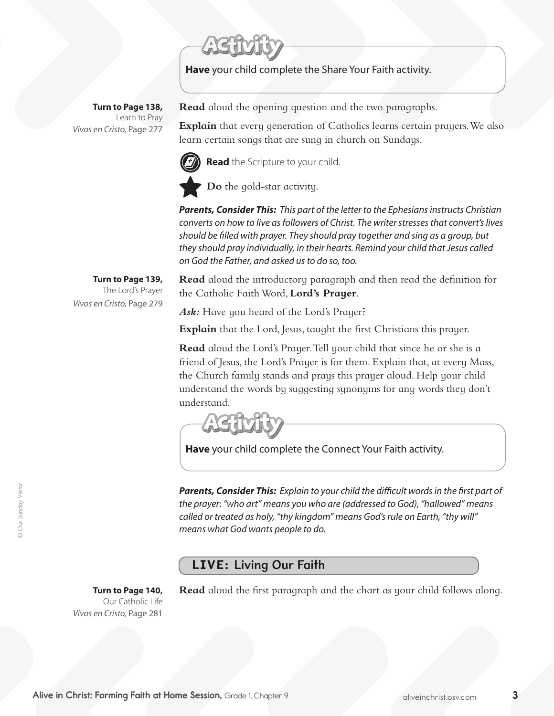**Have** your child complete the Share Your Faith activity.

**Turn to Page 138,** Learn to Pray *Vivos en Cristo,* Page 277

> **Turn to Page 139,** The Lord's Prayer

*Vivos en Cristo,* Page 279

**Read** aloud the opening question and the two paragraphs.

**Explain** that every generation of Catholics learns certain prayers. We also learn certain songs that are sung in church on Sundays.

**Read** the Scripture to your child. **Do** the gold-star activity.

*Parents, Consider This: This part of the letter to the Ephesians instructs Christian converts on how to live as followers of Christ. The writer stresses that convert's lives should be filled with prayer. They should pray together and sing as a group, but they should pray individually, in their hearts. Remind your child that Jesus called on God the Father, and asked us to do so, too.*

**Read** aloud the introductory paragraph and then read the definition for the Catholic FaithWord, **Lord's Prayer**.

Ask: Have you heard of the Lord's Prayer?

**Explain** that the Lord, Jesus, taught the first Christians this prayer.

**Read** aloud the Lord's Prayer.Tell your child that since he or she is a friend of Jesus, the Lord's Prayer is for them. Explain that, at every Mass, the Church family stands and prays this prayer aloud. Help your child understand the words by suggesting synonyms for any words they don't understand.

**Have** your child complete the Connect Your Faith activity.

*Parents, Consider This: Explain to your child the difficult words in the first part of the prayer: "who art" means you who are (addressed to God), "hallowed" means called or treated as holy, "thy kingdom" means God's rule on Earth, "thy will" means what God wants people to do.* 

## LIVE: Living Our Faith

**Turn to Page 140,**  Our Catholic Life *Vivos en Cristo,* Page 281

**Read** aloud the first paragraph and the chart as your child follows along.

© Our Sunday Visitor © Our Sunday Visitor